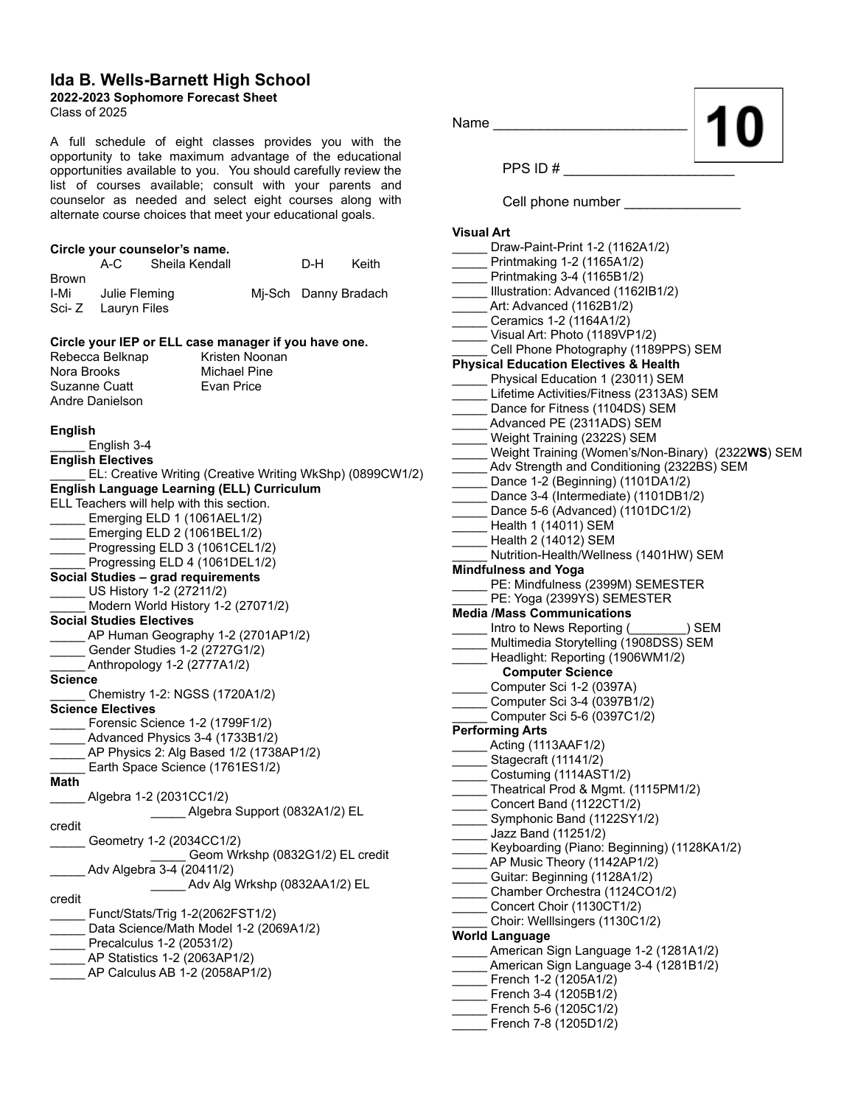## **Ida B. Wells-Barnett High School**

**2022-2023 Sophomore Forecast Sheet**

Class of 2025

A full schedule of eight classes provides you with the opportunity to take maximum advantage of the educational opportunities available to you. You should carefully review the list of courses available; consult with your parents and counselor as needed and select eight courses along with alternate course choices that meet your educational goals.

|                                    | Circle your counselor's name. |     |                      |
|------------------------------------|-------------------------------|-----|----------------------|
|                                    | A-C Sheila Kendall            | D-H | Keith                |
| <b>Brown</b><br>I-Mi Julie Fleming |                               |     | Mi-Sch Danny Bradach |
| Sci-Z Lauryn Files                 |                               |     |                      |

## **Circle your IEP or ELL case manager if you have one.**

| Rebecca Belknap                                             | Kristen Noonan                                            |
|-------------------------------------------------------------|-----------------------------------------------------------|
| Nora Brooks                                                 | Michael Pine                                              |
| Suzanne Cuatt<br>Andre Danielson                            | Evan Price                                                |
|                                                             |                                                           |
| <b>English</b>                                              |                                                           |
| English 3-4                                                 |                                                           |
| <b>English Electives</b>                                    |                                                           |
|                                                             | EL: Creative Writing (Creative Writing WkShp) (0899CW1/2) |
| <b>English Language Learning (ELL) Curriculum</b>           |                                                           |
| ELL Teachers will help with this section.                   |                                                           |
| Emerging ELD 1 (1061AEL1/2)                                 |                                                           |
| Emerging ELD 2 (1061BEL1/2)                                 |                                                           |
| Progressing ELD 3 (1061CEL1/2)                              |                                                           |
| Progressing ELD 4 (1061DEL1/2)                              |                                                           |
| Social Studies - grad requirements                          |                                                           |
| US History 1-2 (27211/2)                                    |                                                           |
| Modern World History 1-2 (27071/2)                          |                                                           |
| <b>Social Studies Electives</b>                             |                                                           |
| AP Human Geography 1-2 (2701AP1/2)                          |                                                           |
| Gender Studies 1-2 (2727G1/2)                               |                                                           |
| Anthropology 1-2 (2777A1/2)                                 |                                                           |
| Science                                                     |                                                           |
| _ Chemistry 1-2: NGSS (1720A1/2)                            |                                                           |
| <b>Science Electives</b>                                    |                                                           |
| Forensic Science 1-2 (1799F1/2)                             |                                                           |
| Advanced Physics 3-4 (1733B1/2)                             |                                                           |
|                                                             | _AP Physics 2: Alg Based 1/2 (1738AP1/2)                  |
| Earth Space Science (1761ES1/2)                             |                                                           |
| Math                                                        |                                                           |
| _Algebra 1-2 (2031CC1/2)                                    |                                                           |
|                                                             | Algebra Support (0832A1/2) EL                             |
| credit                                                      |                                                           |
| Geometry 1-2 (2034CC1/2)                                    |                                                           |
|                                                             | Geom Wrkshp (0832G1/2) EL credit                          |
| Adv Algebra 3-4 (20411/2)                                   | Adv Alg Wrkshp (0832AA1/2) EL                             |
| credit                                                      |                                                           |
| Funct/Stats/Trig 1-2(2062FST1/2)                            |                                                           |
| Data Science/Math Model 1-2 (2069A1/2)                      |                                                           |
|                                                             |                                                           |
| Precalculus 1-2 (20531/2)<br>_AP Statistics 1-2 (2063AP1/2) |                                                           |
| AP Calculus AB 1-2 (2058AP1/2)                              |                                                           |
|                                                             |                                                           |
|                                                             |                                                           |
|                                                             |                                                           |

Name PPS ID  $#$ Cell phone number **Visual Art** \_\_\_\_\_ Draw-Paint-Print 1-2 (1162A1/2) \_\_\_\_\_ Printmaking 1-2 (1165A1/2) \_\_\_\_\_ Printmaking 3-4 (1165B1/2) Illustration: Advanced (1162IB1/2) Art: Advanced (1162B1/2) \_\_\_\_\_ Ceramics 1-2 (1164A1/2) Visual Art: Photo (1189VP1/2) Cell Phone Photography (1189PPS) SEM **Physical Education Electives & Health** Physical Education 1 (23011) SEM Lifetime Activities/Fitness (2313AS) SEM Dance for Fitness (1104DS) SEM Advanced PE (2311ADS) SEM \_\_\_\_\_ Weight Training (2322S) SEM \_\_\_\_\_ Weight Training (Women's/Non-Binary) (2322**WS**) SEM Adv Strength and Conditioning (2322BS) SEM Dance 1-2 (Beginning) (1101DA1/2) Dance 3-4 (Intermediate) (1101DB1/2) Dance 5-6 (Advanced) (1101DC1/2) \_\_\_\_\_ Health 1 (14011) SEM \_\_\_\_\_ Health 2 (14012) SEM Nutrition-Health/Wellness (1401HW) SEM **Mindfulness and Yoga** PE: Mindfulness (2399M) SEMESTER PE: Yoga (2399YS) SEMESTER **Media /Mass Communications** \_\_\_\_\_ Intro to News Reporting (\_\_\_\_\_\_\_\_) SEM Multimedia Storytelling (1908DSS) SEM \_\_\_\_\_ Headlight: Reporting (1906WM1/2) **Computer Science** \_\_\_\_\_ Computer Sci 1-2 (0397A) \_\_\_\_\_ Computer Sci 3-4 (0397B1/2) \_\_\_\_\_ Computer Sci 5-6 (0397C1/2) **Performing Arts** \_\_\_\_\_ Acting (1113AAF1/2) \_\_\_\_\_ Stagecraft (11141/2) \_\_\_\_\_ Costuming (1114AST1/2) \_\_\_\_\_ Theatrical Prod & Mgmt. (1115PM1/2) \_\_\_\_\_ Concert Band (1122CT1/2) \_\_\_\_\_ Symphonic Band (1122SY1/2) \_\_\_\_\_ Jazz Band (11251/2) \_\_\_\_\_ Keyboarding (Piano: Beginning) (1128KA1/2) \_\_\_\_\_ AP Music Theory (1142AP1/2) \_\_\_\_\_ Guitar: Beginning (1128A1/2) \_\_\_\_\_ Chamber Orchestra (1124CO1/2) Concert Choir (1130CT1/2) \_\_\_\_\_ Choir: Welllsingers (1130C1/2) **World Language** American Sign Language 1-2 (1281A1/2) American Sign Language 3-4 (1281B1/2) \_\_\_\_\_ French 1-2 (1205A1/2) \_\_\_\_\_ French 3-4 (1205B1/2) \_\_\_\_\_ French 5-6 (1205C1/2) \_\_\_\_\_ French 7-8 (1205D1/2)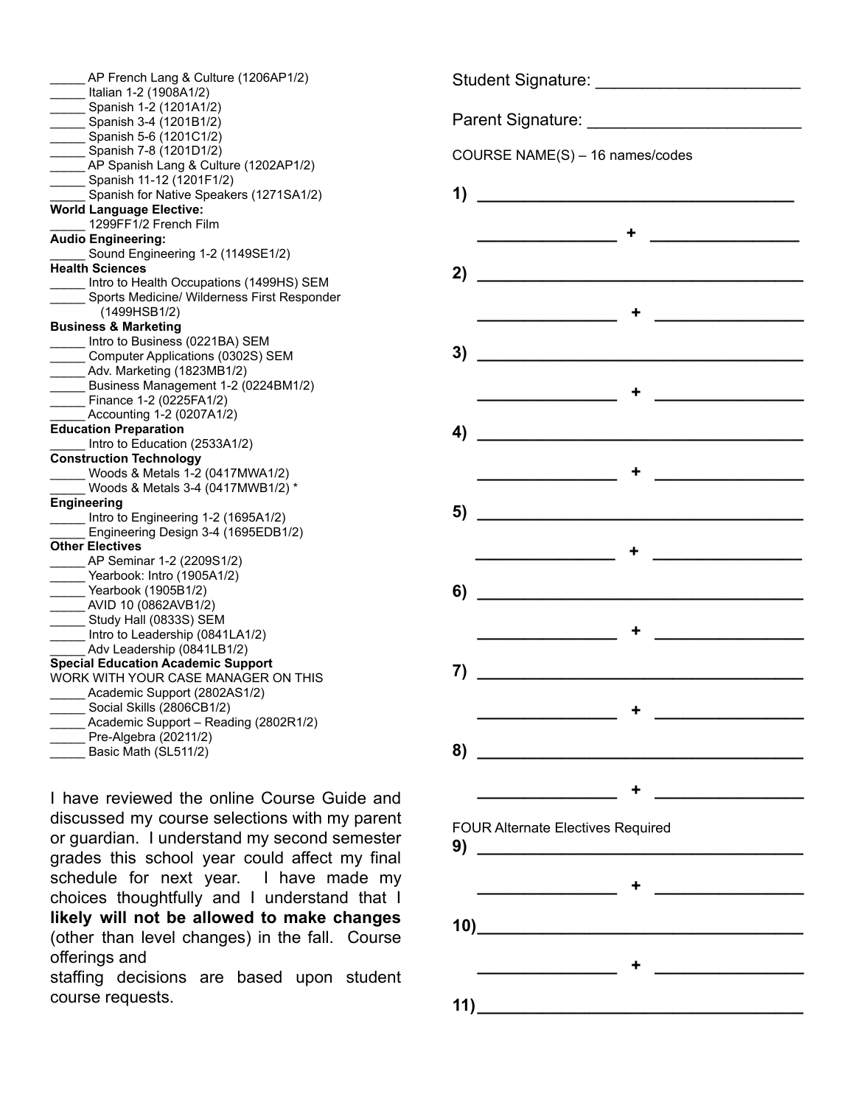| AP French Lang & Culture (1206AP1/2)                                      |
|---------------------------------------------------------------------------|
| Italian 1-2 (1908A1/2)                                                    |
| Spanish 1-2 (1201A1/2)                                                    |
| Spanish 3-4 (1201B1/2)                                                    |
| Spanish 5-6 (1201C1/2)                                                    |
| Spanish 7-8 (1201D1/2)                                                    |
| ____ AP Spanish Lang & Culture (1202AP1/2)                                |
| Spanish 11-12 (1201F1/2)                                                  |
| Spanish for Native Speakers (1271SA1/2)                                   |
| <b>World Language Elective:</b>                                           |
| 1299FF1/2 French Film                                                     |
| <b>Audio Engineering:</b>                                                 |
| Sound Engineering 1-2 (1149SE1/2)                                         |
| <b>Health Sciences</b>                                                    |
| Intro to Health Occupations (1499HS) SEM                                  |
| Sports Medicine/ Wilderness First Responder                               |
| (1499HSB1/2)                                                              |
| <b>Business &amp; Marketing</b>                                           |
| Intro to Business (0221BA) SEM                                            |
| Computer Applications (0302S) SEM                                         |
| Adv. Marketing (1823MB1/2)                                                |
| Business Management 1-2 (0224BM1/2)                                       |
| Finance 1-2 (0225FA1/2)                                                   |
| $\frac{1}{2}$ Accounting 1-2 (0207A1/2)                                   |
| <b>Education Preparation</b>                                              |
| Intro to Education (2533A1/2)                                             |
| <b>Construction Technology</b>                                            |
| Woods & Metals 1-2 (0417MWA1/2)                                           |
| Woods & Metals 3-4 (0417MWB1/2) *                                         |
| Engineering                                                               |
| Intro to Engineering 1-2 (1695A1/2)                                       |
| Engineering Design 3-4 (1695EDB1/2)                                       |
| <b>Other Electives</b>                                                    |
| ______ AP Seminar 1-2 (2209S1/2)                                          |
| Yearbook: Intro (1905A1/2)                                                |
| Yearbook (1905B1/2)                                                       |
| ____ AVID 10 (0862AVB1/2)                                                 |
| Study Hall (0833S) SEM                                                    |
| _Intro to Leadership (0841LA1/2)<br>____<br>__ Adv Leadership (0841LB1/2) |
| <b>Special Education Academic Support</b>                                 |
| WORK WITH YOUR CASE MANAGER ON THIS                                       |
| _____ Academic Support (2802AS1/2)                                        |
| Social Skills (2806CB1/2)                                                 |
| Academic Support - Reading (2802R1/2)                                     |
| Pre-Algebra (20211/2)                                                     |
| Basic Math (SL511/2)                                                      |
|                                                                           |

I have reviewed the online Course Guide and discussed my course selections with my parent or guardian. I understand my second semester grades this school year could affect my final schedule for next year. I have made my choices thoughtfully and I understand that I **likely will not be allowed to make changes** (other than level changes) in the fall. Course offerings and

staffing decisions are based upon student course requests.